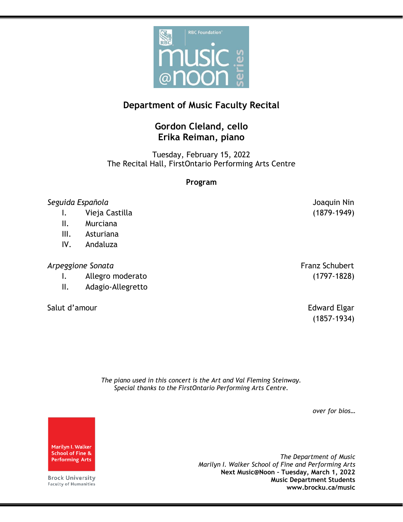

# **Department of Music Faculty Recital**

## **Gordon Cleland, cello Erika Reiman, piano**

Tuesday, February 15, 2022 The Recital Hall, FirstOntario Performing Arts Centre

#### **Program**

#### *Seguida Española* Joaquin Nin

- I. Vieja Castilla (1879-1949)
- II. Murciana
- III. Asturiana
- IV. Andaluza

### Arpeggione Sonata **Franz Schubert Franz Schubert**

- I. Allegro moderato (1797-1828)
- II. Adagio-Allegretto
- Salut d'amour et al. et al. et al. et al. et al. et al. et al. et al. et al. et al. et al. et al. et al. et al

(1857-1934)

*The piano used in this concert is the Art and Val Fleming Steinway. Special thanks to the FirstOntario Performing Arts Centre.*

*over for bios…*

Marilyn I. Walker **School of Fine & Performing Arts** 

**Brock University** Faculty of Humanities

*The Department of Music Marilyn I. Walker School of Fine and Performing Arts* **Next Music@Noon – Tuesday, March 1, 2022 Music Department Students www.brocku.ca/music**